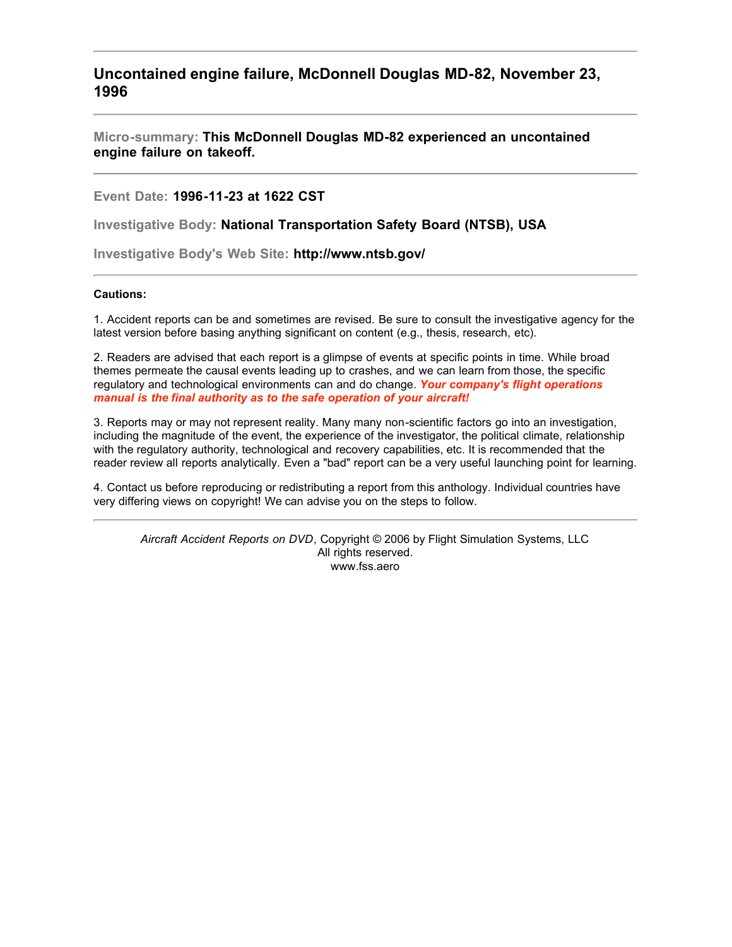**Uncontained engine failure, McDonnell Douglas MD-82, November 23, 1996**

**Micro-summary: This McDonnell Douglas MD-82 experienced an uncontained engine failure on takeoff.**

**Event Date: 1996-11-23 at 1622 CST**

**Investigative Body: National Transportation Safety Board (NTSB), USA**

**Investigative Body's Web Site: http://www.ntsb.gov/**

# **Cautions:**

1. Accident reports can be and sometimes are revised. Be sure to consult the investigative agency for the latest version before basing anything significant on content (e.g., thesis, research, etc).

2. Readers are advised that each report is a glimpse of events at specific points in time. While broad themes permeate the causal events leading up to crashes, and we can learn from those, the specific regulatory and technological environments can and do change. *Your company's flight operations manual is the final authority as to the safe operation of your aircraft!*

3. Reports may or may not represent reality. Many many non-scientific factors go into an investigation, including the magnitude of the event, the experience of the investigator, the political climate, relationship with the regulatory authority, technological and recovery capabilities, etc. It is recommended that the reader review all reports analytically. Even a "bad" report can be a very useful launching point for learning.

4. Contact us before reproducing or redistributing a report from this anthology. Individual countries have very differing views on copyright! We can advise you on the steps to follow.

*Aircraft Accident Reports on DVD*, Copyright © 2006 by Flight Simulation Systems, LLC All rights reserved. www.fss.aero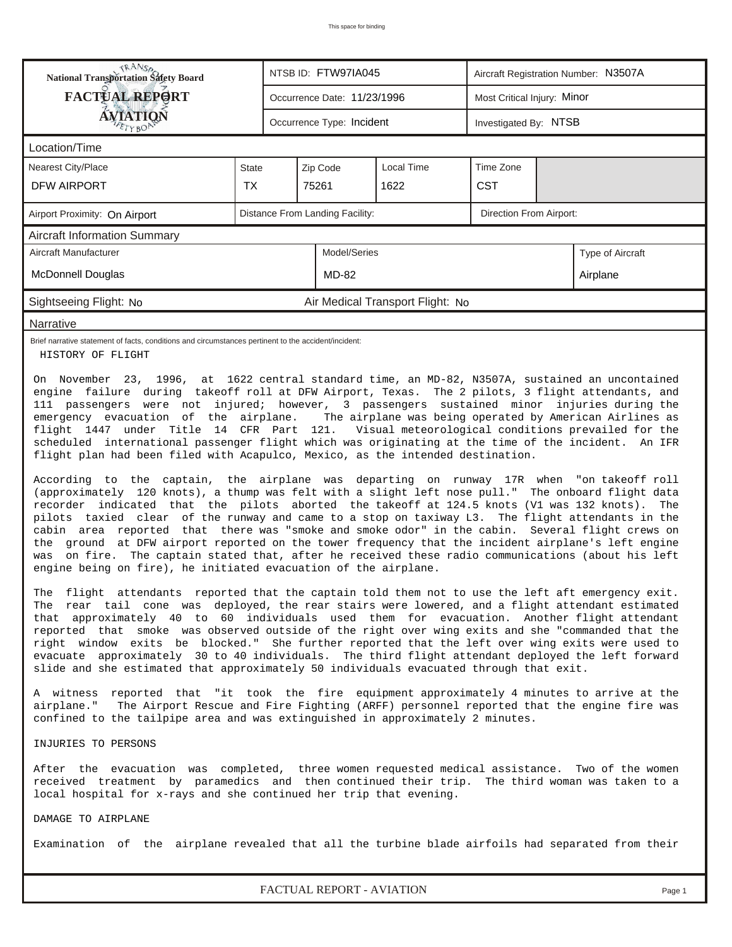| <b>TRANSA</b><br>National Transportation Safety Board                                                                                                                                                                                                                                                                                                                                                                                                                                                                                                                                                                                                                                                                                                                                                                                                                                                                                                                                                                                                                                                                                                                                                                                                                                                                                                                                                                                                                                                                                                                                                                                                                                                                                                                                                                                                                                                                                                                                                                                                                                                                                                                                                                                        |                                                                                                                                                                                                                                                                        |                                                            | NTSB ID: FTW97IA045       |                                  | Aircraft Registration Number: N3507A |                       |                                                                |  |  |  |
|----------------------------------------------------------------------------------------------------------------------------------------------------------------------------------------------------------------------------------------------------------------------------------------------------------------------------------------------------------------------------------------------------------------------------------------------------------------------------------------------------------------------------------------------------------------------------------------------------------------------------------------------------------------------------------------------------------------------------------------------------------------------------------------------------------------------------------------------------------------------------------------------------------------------------------------------------------------------------------------------------------------------------------------------------------------------------------------------------------------------------------------------------------------------------------------------------------------------------------------------------------------------------------------------------------------------------------------------------------------------------------------------------------------------------------------------------------------------------------------------------------------------------------------------------------------------------------------------------------------------------------------------------------------------------------------------------------------------------------------------------------------------------------------------------------------------------------------------------------------------------------------------------------------------------------------------------------------------------------------------------------------------------------------------------------------------------------------------------------------------------------------------------------------------------------------------------------------------------------------------|------------------------------------------------------------------------------------------------------------------------------------------------------------------------------------------------------------------------------------------------------------------------|------------------------------------------------------------|---------------------------|----------------------------------|--------------------------------------|-----------------------|----------------------------------------------------------------|--|--|--|
| FACTUAL REPORT                                                                                                                                                                                                                                                                                                                                                                                                                                                                                                                                                                                                                                                                                                                                                                                                                                                                                                                                                                                                                                                                                                                                                                                                                                                                                                                                                                                                                                                                                                                                                                                                                                                                                                                                                                                                                                                                                                                                                                                                                                                                                                                                                                                                                               |                                                                                                                                                                                                                                                                        | Occurrence Date: 11/23/1996                                |                           |                                  | Most Critical Injury: Minor          |                       |                                                                |  |  |  |
| <b>ÁVIATION</b><br>TYBOP                                                                                                                                                                                                                                                                                                                                                                                                                                                                                                                                                                                                                                                                                                                                                                                                                                                                                                                                                                                                                                                                                                                                                                                                                                                                                                                                                                                                                                                                                                                                                                                                                                                                                                                                                                                                                                                                                                                                                                                                                                                                                                                                                                                                                     |                                                                                                                                                                                                                                                                        |                                                            | Occurrence Type: Incident |                                  |                                      | Investigated By: NTSB |                                                                |  |  |  |
| Location/Time                                                                                                                                                                                                                                                                                                                                                                                                                                                                                                                                                                                                                                                                                                                                                                                                                                                                                                                                                                                                                                                                                                                                                                                                                                                                                                                                                                                                                                                                                                                                                                                                                                                                                                                                                                                                                                                                                                                                                                                                                                                                                                                                                                                                                                |                                                                                                                                                                                                                                                                        |                                                            |                           |                                  |                                      |                       |                                                                |  |  |  |
| <b>Nearest City/Place</b>                                                                                                                                                                                                                                                                                                                                                                                                                                                                                                                                                                                                                                                                                                                                                                                                                                                                                                                                                                                                                                                                                                                                                                                                                                                                                                                                                                                                                                                                                                                                                                                                                                                                                                                                                                                                                                                                                                                                                                                                                                                                                                                                                                                                                    | <b>State</b>                                                                                                                                                                                                                                                           |                                                            | Zip Code                  | Local Time                       | Time Zone                            |                       |                                                                |  |  |  |
| DFW AIRPORT                                                                                                                                                                                                                                                                                                                                                                                                                                                                                                                                                                                                                                                                                                                                                                                                                                                                                                                                                                                                                                                                                                                                                                                                                                                                                                                                                                                                                                                                                                                                                                                                                                                                                                                                                                                                                                                                                                                                                                                                                                                                                                                                                                                                                                  | TX.                                                                                                                                                                                                                                                                    |                                                            | 75261                     | 1622                             | <b>CST</b>                           |                       |                                                                |  |  |  |
| Airport Proximity: On Airport                                                                                                                                                                                                                                                                                                                                                                                                                                                                                                                                                                                                                                                                                                                                                                                                                                                                                                                                                                                                                                                                                                                                                                                                                                                                                                                                                                                                                                                                                                                                                                                                                                                                                                                                                                                                                                                                                                                                                                                                                                                                                                                                                                                                                |                                                                                                                                                                                                                                                                        | Distance From Landing Facility:<br>Direction From Airport: |                           |                                  |                                      |                       |                                                                |  |  |  |
| <b>Aircraft Information Summary</b>                                                                                                                                                                                                                                                                                                                                                                                                                                                                                                                                                                                                                                                                                                                                                                                                                                                                                                                                                                                                                                                                                                                                                                                                                                                                                                                                                                                                                                                                                                                                                                                                                                                                                                                                                                                                                                                                                                                                                                                                                                                                                                                                                                                                          |                                                                                                                                                                                                                                                                        |                                                            |                           |                                  |                                      |                       |                                                                |  |  |  |
| Aircraft Manufacturer                                                                                                                                                                                                                                                                                                                                                                                                                                                                                                                                                                                                                                                                                                                                                                                                                                                                                                                                                                                                                                                                                                                                                                                                                                                                                                                                                                                                                                                                                                                                                                                                                                                                                                                                                                                                                                                                                                                                                                                                                                                                                                                                                                                                                        |                                                                                                                                                                                                                                                                        |                                                            | Model/Series              |                                  |                                      |                       | Type of Aircraft                                               |  |  |  |
| <b>McDonnell Douglas</b>                                                                                                                                                                                                                                                                                                                                                                                                                                                                                                                                                                                                                                                                                                                                                                                                                                                                                                                                                                                                                                                                                                                                                                                                                                                                                                                                                                                                                                                                                                                                                                                                                                                                                                                                                                                                                                                                                                                                                                                                                                                                                                                                                                                                                     |                                                                                                                                                                                                                                                                        |                                                            | <b>MD-82</b>              |                                  |                                      |                       | Airplane                                                       |  |  |  |
| Sightseeing Flight: No                                                                                                                                                                                                                                                                                                                                                                                                                                                                                                                                                                                                                                                                                                                                                                                                                                                                                                                                                                                                                                                                                                                                                                                                                                                                                                                                                                                                                                                                                                                                                                                                                                                                                                                                                                                                                                                                                                                                                                                                                                                                                                                                                                                                                       |                                                                                                                                                                                                                                                                        |                                                            |                           | Air Medical Transport Flight: No |                                      |                       |                                                                |  |  |  |
| Narrative                                                                                                                                                                                                                                                                                                                                                                                                                                                                                                                                                                                                                                                                                                                                                                                                                                                                                                                                                                                                                                                                                                                                                                                                                                                                                                                                                                                                                                                                                                                                                                                                                                                                                                                                                                                                                                                                                                                                                                                                                                                                                                                                                                                                                                    |                                                                                                                                                                                                                                                                        |                                                            |                           |                                  |                                      |                       |                                                                |  |  |  |
| Brief narrative statement of facts, conditions and circumstances pertinent to the accident/incident:<br>HISTORY OF FLIGHT                                                                                                                                                                                                                                                                                                                                                                                                                                                                                                                                                                                                                                                                                                                                                                                                                                                                                                                                                                                                                                                                                                                                                                                                                                                                                                                                                                                                                                                                                                                                                                                                                                                                                                                                                                                                                                                                                                                                                                                                                                                                                                                    |                                                                                                                                                                                                                                                                        |                                                            |                           |                                  |                                      |                       |                                                                |  |  |  |
| engine failure during takeoff roll at DFW Airport, Texas. The 2 pilots, 3 flight attendants, and<br>111 passengers were not injured; however, 3 passengers sustained minor injuries during the<br>emergency evacuation of the airplane.<br>flight 1447 under Title 14 CFR Part 121. Visual meteorological conditions prevailed for the<br>scheduled international passenger flight which was originating at the time of the incident. An IFR<br>flight plan had been filed with Acapulco, Mexico, as the intended destination.<br>According to the captain, the airplane was departing on runway 17R when "on takeoff roll<br>(approximately 120 knots), a thump was felt with a slight left nose pull." The onboard flight data<br>recorder indicated that the pilots aborted the takeoff at 124.5 knots (V1 was 132 knots).<br>pilots taxied clear of the runway and came to a stop on taxiway L3. The flight attendants in the<br>cabin area reported that there was "smoke and smoke odor" in the cabin. Several flight crews on<br>the ground at DFW airport reported on the tower frequency that the incident airplane's left engine<br>on fire. The captain stated that, after he received these radio communications (about his left<br>was<br>engine being on fire), he initiated evacuation of the airplane.<br>The flight attendants reported that the captain told them not to use the left aft emergency exit.<br>The rear tail cone was deployed, the rear stairs were lowered, and a flight attendant estimated<br>that approximately 40 to 60 individuals used them for evacuation. Another flight attendant<br>reported that smoke was observed outside of the right over wing exits and she "commanded that the<br>right window exits be blocked." She further reported that the left over wing exits were used to<br>evacuate approximately 30 to 40 individuals. The third flight attendant deployed the left forward<br>slide and she estimated that approximately 50 individuals evacuated through that exit.<br>A witness reported that "it took the fire equipment approximately 4 minutes to arrive at the<br>The Airport Rescue and Fire Fighting (ARFF) personnel reported that the engine fire was<br>airplane." |                                                                                                                                                                                                                                                                        |                                                            |                           |                                  |                                      |                       | The airplane was being operated by American Airlines as<br>The |  |  |  |
| confined to the tailpipe area and was extinguished in approximately 2 minutes.<br>INJURIES TO PERSONS                                                                                                                                                                                                                                                                                                                                                                                                                                                                                                                                                                                                                                                                                                                                                                                                                                                                                                                                                                                                                                                                                                                                                                                                                                                                                                                                                                                                                                                                                                                                                                                                                                                                                                                                                                                                                                                                                                                                                                                                                                                                                                                                        |                                                                                                                                                                                                                                                                        |                                                            |                           |                                  |                                      |                       |                                                                |  |  |  |
| DAMAGE TO AIRPLANE                                                                                                                                                                                                                                                                                                                                                                                                                                                                                                                                                                                                                                                                                                                                                                                                                                                                                                                                                                                                                                                                                                                                                                                                                                                                                                                                                                                                                                                                                                                                                                                                                                                                                                                                                                                                                                                                                                                                                                                                                                                                                                                                                                                                                           | After the evacuation was completed, three women requested medical assistance. Two of the women<br>received treatment by paramedics and then continued their trip. The third woman was taken to a<br>local hospital for x-rays and she continued her trip that evening. |                                                            |                           |                                  |                                      |                       |                                                                |  |  |  |
|                                                                                                                                                                                                                                                                                                                                                                                                                                                                                                                                                                                                                                                                                                                                                                                                                                                                                                                                                                                                                                                                                                                                                                                                                                                                                                                                                                                                                                                                                                                                                                                                                                                                                                                                                                                                                                                                                                                                                                                                                                                                                                                                                                                                                                              |                                                                                                                                                                                                                                                                        |                                                            |                           |                                  |                                      |                       |                                                                |  |  |  |
|                                                                                                                                                                                                                                                                                                                                                                                                                                                                                                                                                                                                                                                                                                                                                                                                                                                                                                                                                                                                                                                                                                                                                                                                                                                                                                                                                                                                                                                                                                                                                                                                                                                                                                                                                                                                                                                                                                                                                                                                                                                                                                                                                                                                                                              | Examination of the airplane revealed that all the turbine blade airfoils had separated from their                                                                                                                                                                      |                                                            |                           |                                  |                                      |                       |                                                                |  |  |  |
|                                                                                                                                                                                                                                                                                                                                                                                                                                                                                                                                                                                                                                                                                                                                                                                                                                                                                                                                                                                                                                                                                                                                                                                                                                                                                                                                                                                                                                                                                                                                                                                                                                                                                                                                                                                                                                                                                                                                                                                                                                                                                                                                                                                                                                              | FACTUAL REPORT - AVIATION<br>Page 1                                                                                                                                                                                                                                    |                                                            |                           |                                  |                                      |                       |                                                                |  |  |  |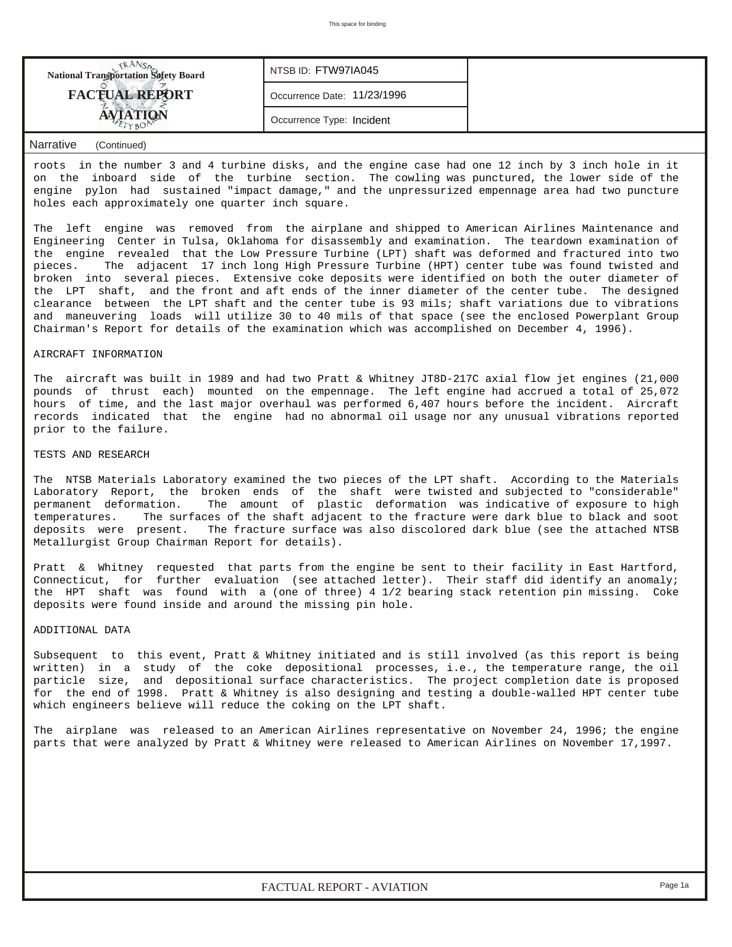| <b>National Transportation Safety Board</b> | NTSB ID: FTW97IA045         |  |
|---------------------------------------------|-----------------------------|--|
| <b>FACTUAL REPORT</b>                       | Occurrence Date: 11/23/1996 |  |
|                                             | Occurrence Type: Incident   |  |

## *Narrative (Continued)*

roots in the number 3 and 4 turbine disks, and the engine case had one 12 inch by 3 inch hole in it on the inboard side of the turbine section. The cowling was punctured, the lower side of the engine pylon had sustained "impact damage," and the unpressurized empennage area had two puncture holes each approximately one quarter inch square.

The left engine was removed from the airplane and shipped to American Airlines Maintenance and Engineering Center in Tulsa, Oklahoma for disassembly and examination. The teardown examination of the engine revealed that the Low Pressure Turbine (LPT) shaft was deformed and fractured into two pieces. The adjacent 17 inch long High Pressure Turbine (HPT) center tube was found twisted and broken into several pieces. Extensive coke deposits were identified on both the outer diameter of the LPT shaft, and the front and aft ends of the inner diameter of the center tube. The designed clearance between the LPT shaft and the center tube is 93 mils; shaft variations due to vibrations and maneuvering loads will utilize 30 to 40 mils of that space (see the enclosed Powerplant Group Chairman's Report for details of the examination which was accomplished on December 4, 1996).

## AIRCRAFT INFORMATION

The aircraft was built in 1989 and had two Pratt & Whitney JT8D-217C axial flow jet engines (21,000 pounds of thrust each) mounted on the empennage. The left engine had accrued a total of 25,072 hours of time, and the last major overhaul was performed 6,407 hours before the incident. Aircraft records indicated that the engine had no abnormal oil usage nor any unusual vibrations reported prior to the failure.

### TESTS AND RESEARCH

The NTSB Materials Laboratory examined the two pieces of the LPT shaft. According to the Materials Laboratory Report, the broken ends of the shaft were twisted and subjected to "considerable" permanent deformation. The amount of plastic deformation was indicative of exposure to high temperatures. The surfaces of the shaft adjacent to the fracture were dark blue to black and soot deposits were present. The fracture surface was also discolored dark blue (see the attached NTSB Metallurgist Group Chairman Report for details).

Pratt & Whitney requested that parts from the engine be sent to their facility in East Hartford, Connecticut, for further evaluation (see attached letter). Their staff did identify an anomaly; the HPT shaft was found with a (one of three) 4 1/2 bearing stack retention pin missing. Coke deposits were found inside and around the missing pin hole.

#### ADDITIONAL DATA

Subsequent to this event, Pratt & Whitney initiated and is still involved (as this report is being written) in a study of the coke depositional processes, i.e., the temperature range, the oil particle size, and depositional surface characteristics. The project completion date is proposed for the end of 1998. Pratt & Whitney is also designing and testing a double-walled HPT center tube which engineers believe will reduce the coking on the LPT shaft.

The airplane was released to an American Airlines representative on November 24, 1996; the engine parts that were analyzed by Pratt & Whitney were released to American Airlines on November 17,1997.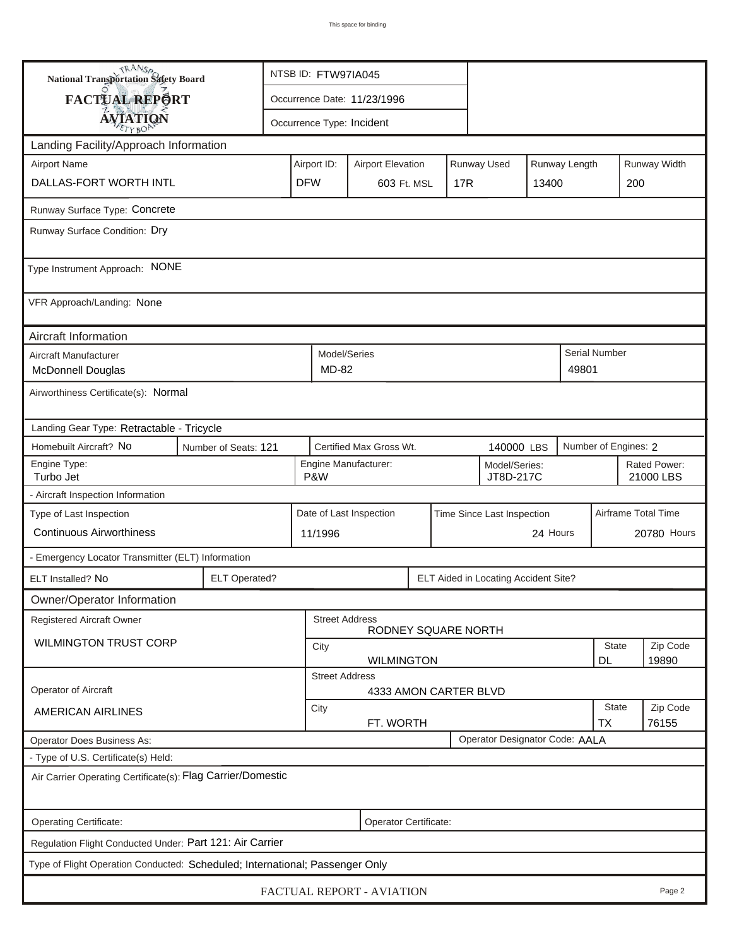| <b>National Transportation Safety Board</b>                                  |                                                           | NTSB ID: FTW97IA045                                   |                                       |                                              |     |  |                                      |                           |                   |                      |              |  |
|------------------------------------------------------------------------------|-----------------------------------------------------------|-------------------------------------------------------|---------------------------------------|----------------------------------------------|-----|--|--------------------------------------|---------------------------|-------------------|----------------------|--------------|--|
| FACTUAL REPORT                                                               |                                                           | Occurrence Date: 11/23/1996                           |                                       |                                              |     |  |                                      |                           |                   |                      |              |  |
| <b>AVIATION</b>                                                              |                                                           |                                                       |                                       | Occurrence Type: Incident                    |     |  |                                      |                           |                   |                      |              |  |
| Landing Facility/Approach Information                                        |                                                           |                                                       |                                       |                                              |     |  |                                      |                           |                   |                      |              |  |
| <b>Airport Name</b>                                                          |                                                           | Airport ID:                                           |                                       | <b>Airport Elevation</b>                     |     |  | Runway Used                          |                           | Runway Length     |                      | Runway Width |  |
| DALLAS-FORT WORTH INTL                                                       | <b>DFW</b>                                                |                                                       | 603 Ft. MSL                           |                                              | 17R |  | 13400                                |                           | 200               |                      |              |  |
| Runway Surface Type: Concrete                                                |                                                           |                                                       |                                       |                                              |     |  |                                      |                           |                   |                      |              |  |
| Runway Surface Condition: Dry                                                |                                                           |                                                       |                                       |                                              |     |  |                                      |                           |                   |                      |              |  |
| Type Instrument Approach: NONE                                               |                                                           |                                                       |                                       |                                              |     |  |                                      |                           |                   |                      |              |  |
| VFR Approach/Landing: None                                                   |                                                           |                                                       |                                       |                                              |     |  |                                      |                           |                   |                      |              |  |
| Aircraft Information                                                         |                                                           |                                                       |                                       |                                              |     |  |                                      |                           |                   |                      |              |  |
| Aircraft Manufacturer<br><b>McDonnell Douglas</b>                            |                                                           |                                                       | Model/Series<br>MD-82                 |                                              |     |  |                                      |                           | 49801             | <b>Serial Number</b> |              |  |
| Airworthiness Certificate(s): Normal                                         |                                                           |                                                       |                                       |                                              |     |  |                                      |                           |                   |                      |              |  |
| Landing Gear Type: Retractable - Tricycle                                    |                                                           |                                                       |                                       |                                              |     |  |                                      |                           |                   |                      |              |  |
| Homebuilt Aircraft? No                                                       | Number of Seats: 121                                      |                                                       | Certified Max Gross Wt.<br>140000 LBS |                                              |     |  |                                      |                           |                   | Number of Engines: 2 |              |  |
| Engine Type:<br>Turbo Jet                                                    | Engine Manufacturer:<br>Model/Series:<br>P&W<br>JT8D-217C |                                                       |                                       |                                              |     |  | Rated Power:<br>21000 LBS            |                           |                   |                      |              |  |
| - Aircraft Inspection Information                                            |                                                           |                                                       |                                       |                                              |     |  |                                      |                           |                   |                      |              |  |
| Type of Last Inspection                                                      |                                                           | Date of Last Inspection<br>Time Since Last Inspection |                                       |                                              |     |  |                                      | Airframe Total Time       |                   |                      |              |  |
| <b>Continuous Airworthiness</b>                                              |                                                           |                                                       | 24 Hours<br>11/1996                   |                                              |     |  |                                      |                           | 20780 Hours       |                      |              |  |
| - Emergency Locator Transmitter (ELT) Information                            |                                                           |                                                       |                                       |                                              |     |  |                                      |                           |                   |                      |              |  |
| ELT Installed? No                                                            | <b>ELT Operated?</b>                                      |                                                       |                                       |                                              |     |  | ELT Aided in Locating Accident Site? |                           |                   |                      |              |  |
| Owner/Operator Information                                                   |                                                           |                                                       |                                       |                                              |     |  |                                      |                           |                   |                      |              |  |
| <b>Registered Aircraft Owner</b>                                             |                                                           |                                                       |                                       | <b>Street Address</b><br>RODNEY SQUARE NORTH |     |  |                                      |                           |                   |                      |              |  |
| <b>WILMINGTON TRUST CORP</b>                                                 |                                                           | City                                                  |                                       |                                              |     |  |                                      |                           | State             | Zip Code             |              |  |
|                                                                              |                                                           |                                                       | <b>Street Address</b>                 | <b>WILMINGTON</b>                            |     |  |                                      |                           |                   | DL                   | 19890        |  |
| Operator of Aircraft                                                         |                                                           |                                                       |                                       | 4333 AMON CARTER BLVD                        |     |  |                                      |                           |                   |                      |              |  |
| <b>AMERICAN AIRLINES</b>                                                     |                                                           | City<br>FT. WORTH                                     |                                       |                                              |     |  |                                      | <b>State</b><br><b>TX</b> | Zip Code<br>76155 |                      |              |  |
| Operator Does Business As:                                                   |                                                           |                                                       |                                       |                                              |     |  | Operator Designator Code: AALA       |                           |                   |                      |              |  |
| - Type of U.S. Certificate(s) Held:                                          |                                                           |                                                       |                                       |                                              |     |  |                                      |                           |                   |                      |              |  |
| Air Carrier Operating Certificate(s): Flag Carrier/Domestic                  |                                                           |                                                       |                                       |                                              |     |  |                                      |                           |                   |                      |              |  |
| Operating Certificate:                                                       | Operator Certificate:                                     |                                                       |                                       |                                              |     |  |                                      |                           |                   |                      |              |  |
| Regulation Flight Conducted Under: Part 121: Air Carrier                     |                                                           |                                                       |                                       |                                              |     |  |                                      |                           |                   |                      |              |  |
| Type of Flight Operation Conducted: Scheduled; International; Passenger Only |                                                           |                                                       |                                       |                                              |     |  |                                      |                           |                   |                      |              |  |
| FACTUAL REPORT - AVIATION<br>Page 2                                          |                                                           |                                                       |                                       |                                              |     |  |                                      |                           |                   |                      |              |  |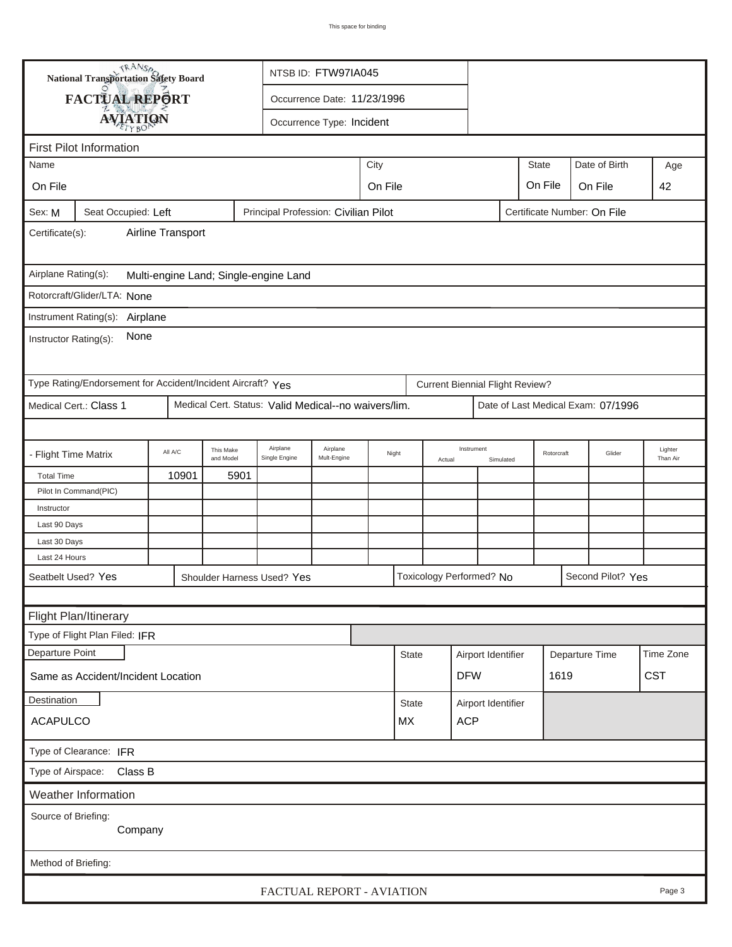|                                                              | <b>National Transportation Safety Board</b>                                                |         |                        |                                                      | NTSB ID: FTW97IA045                        |      |                  |  |                                        |           |                |  |                                    |                     |
|--------------------------------------------------------------|--------------------------------------------------------------------------------------------|---------|------------------------|------------------------------------------------------|--------------------------------------------|------|------------------|--|----------------------------------------|-----------|----------------|--|------------------------------------|---------------------|
|                                                              | FACTUAL REPORT                                                                             |         |                        |                                                      | Occurrence Date: 11/23/1996                |      |                  |  |                                        |           |                |  |                                    |                     |
|                                                              |                                                                                            |         |                        |                                                      | Occurrence Type: Incident                  |      |                  |  |                                        |           |                |  |                                    |                     |
|                                                              | <b>AVIATION</b>                                                                            |         |                        |                                                      |                                            |      |                  |  |                                        |           |                |  |                                    |                     |
|                                                              | <b>First Pilot Information</b>                                                             |         |                        |                                                      |                                            |      |                  |  |                                        |           |                |  |                                    |                     |
| Name                                                         |                                                                                            |         |                        |                                                      |                                            | City |                  |  |                                        |           | <b>State</b>   |  | Date of Birth                      | Age                 |
| On File                                                      |                                                                                            |         |                        |                                                      | On File<br>On File<br>On File<br>42        |      |                  |  |                                        |           |                |  |                                    |                     |
| Sex: M                                                       | Principal Profession: Civilian Pilot<br>Certificate Number: On File<br>Seat Occupied: Left |         |                        |                                                      |                                            |      |                  |  |                                        |           |                |  |                                    |                     |
| Airline Transport<br>Certificate(s):                         |                                                                                            |         |                        |                                                      |                                            |      |                  |  |                                        |           |                |  |                                    |                     |
| Airplane Rating(s):<br>Multi-engine Land; Single-engine Land |                                                                                            |         |                        |                                                      |                                            |      |                  |  |                                        |           |                |  |                                    |                     |
|                                                              | Rotorcraft/Glider/LTA: None                                                                |         |                        |                                                      |                                            |      |                  |  |                                        |           |                |  |                                    |                     |
|                                                              | Instrument Rating(s): Airplane                                                             |         |                        |                                                      |                                            |      |                  |  |                                        |           |                |  |                                    |                     |
| None<br>Instructor Rating(s):                                |                                                                                            |         |                        |                                                      |                                            |      |                  |  |                                        |           |                |  |                                    |                     |
|                                                              | Type Rating/Endorsement for Accident/Incident Aircraft? Yes                                |         |                        |                                                      |                                            |      |                  |  | <b>Current Biennial Flight Review?</b> |           |                |  |                                    |                     |
|                                                              | Medical Cert.: Class 1                                                                     |         |                        | Medical Cert. Status: Valid Medical--no waivers/lim. |                                            |      |                  |  |                                        |           |                |  | Date of Last Medical Exam: 07/1996 |                     |
|                                                              |                                                                                            |         |                        |                                                      |                                            |      |                  |  |                                        |           |                |  |                                    |                     |
| - Flight Time Matrix                                         |                                                                                            | All A/C | This Make<br>and Model | Airplane<br>Single Engine                            | Airplane<br>Night<br>Mult-Engine<br>Actual |      |                  |  | Instrument                             | Simulated | Rotorcraft     |  | Glider                             | Lighter<br>Than Air |
| <b>Total Time</b>                                            |                                                                                            | 10901   | 5901                   |                                                      |                                            |      |                  |  |                                        |           |                |  |                                    |                     |
|                                                              | Pilot In Command(PIC)                                                                      |         |                        |                                                      |                                            |      |                  |  |                                        |           |                |  |                                    |                     |
| Instructor                                                   |                                                                                            |         |                        |                                                      |                                            |      |                  |  |                                        |           |                |  |                                    |                     |
| Last 90 Days                                                 |                                                                                            |         |                        |                                                      |                                            |      |                  |  |                                        |           |                |  |                                    |                     |
| Last 30 Days                                                 |                                                                                            |         |                        |                                                      |                                            |      |                  |  |                                        |           |                |  |                                    |                     |
| Last 24 Hours                                                |                                                                                            |         |                        |                                                      |                                            |      |                  |  |                                        |           |                |  |                                    |                     |
| Seatbelt Used? Yes                                           |                                                                                            |         |                        | Shoulder Harness Used? Yes                           |                                            |      |                  |  | Toxicology Performed? No               |           |                |  | Second Pilot? Yes                  |                     |
|                                                              |                                                                                            |         |                        |                                                      |                                            |      |                  |  |                                        |           |                |  |                                    |                     |
|                                                              | Flight Plan/Itinerary                                                                      |         |                        |                                                      |                                            |      |                  |  |                                        |           |                |  |                                    |                     |
|                                                              | Type of Flight Plan Filed: IFR                                                             |         |                        |                                                      |                                            |      |                  |  |                                        |           |                |  |                                    |                     |
| Departure Point                                              |                                                                                            |         |                        |                                                      |                                            |      | <b>State</b>     |  | Airport Identifier                     |           | Departure Time |  |                                    | Time Zone           |
|                                                              | Same as Accident/Incident Location                                                         |         |                        |                                                      |                                            |      |                  |  | <b>DFW</b>                             |           | 1619           |  |                                    | <b>CST</b>          |
| Destination                                                  |                                                                                            |         |                        |                                                      |                                            |      | <b>State</b>     |  | Airport Identifier                     |           |                |  |                                    |                     |
| <b>ACAPULCO</b>                                              |                                                                                            |         |                        |                                                      |                                            |      | <b>ACP</b><br>МX |  |                                        |           |                |  |                                    |                     |
| Type of Clearance: IFR                                       |                                                                                            |         |                        |                                                      |                                            |      |                  |  |                                        |           |                |  |                                    |                     |
| Type of Airspace: Class B                                    |                                                                                            |         |                        |                                                      |                                            |      |                  |  |                                        |           |                |  |                                    |                     |
|                                                              | Weather Information                                                                        |         |                        |                                                      |                                            |      |                  |  |                                        |           |                |  |                                    |                     |
| Source of Briefing:<br>Company                               |                                                                                            |         |                        |                                                      |                                            |      |                  |  |                                        |           |                |  |                                    |                     |
|                                                              |                                                                                            |         |                        |                                                      |                                            |      |                  |  |                                        |           |                |  |                                    |                     |
| Method of Briefing:                                          |                                                                                            |         |                        |                                                      |                                            |      |                  |  |                                        |           |                |  |                                    |                     |
|                                                              |                                                                                            |         |                        | FACTUAL REPORT - AVIATION                            |                                            |      |                  |  |                                        |           |                |  |                                    | Page 3              |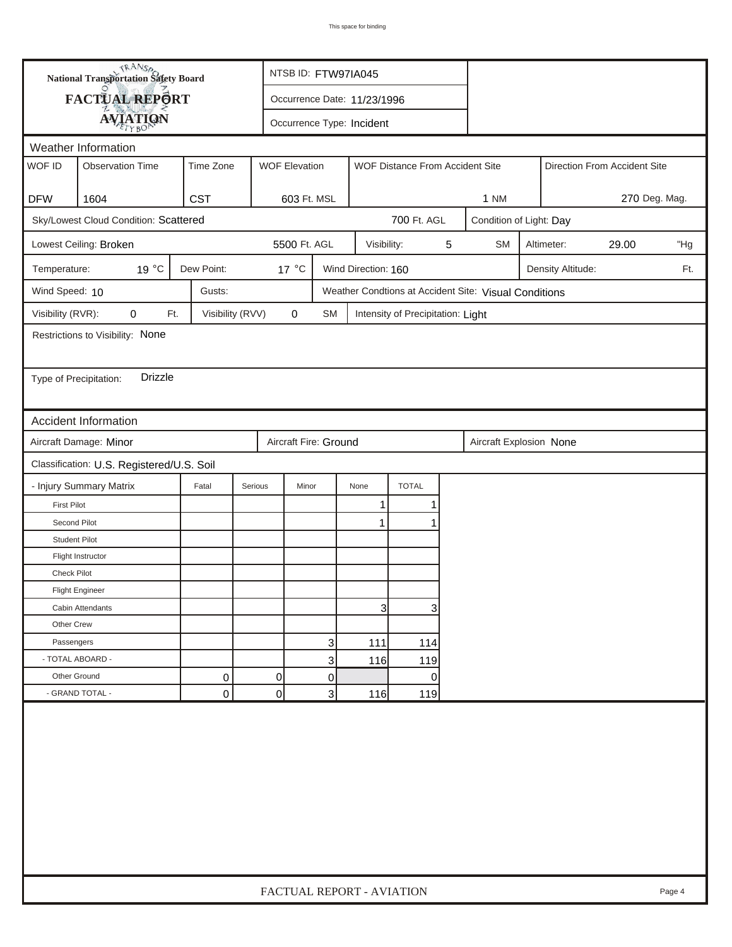|                        | <b>National Transportation Safety Board</b> |                  |                | NTSB ID: FTW97IA045         |                     |                                   |   |                                                       |  |                   |                              |     |
|------------------------|---------------------------------------------|------------------|----------------|-----------------------------|---------------------|-----------------------------------|---|-------------------------------------------------------|--|-------------------|------------------------------|-----|
|                        | FACTUAL REPORT                              |                  |                | Occurrence Date: 11/23/1996 |                     |                                   |   |                                                       |  |                   |                              |     |
|                        | <b>AVIATION</b>                             |                  |                | Occurrence Type: Incident   |                     |                                   |   |                                                       |  |                   |                              |     |
|                        | Weather Information                         |                  |                |                             |                     |                                   |   |                                                       |  |                   |                              |     |
| WOF ID                 | <b>Observation Time</b>                     | Time Zone        |                | <b>WOF Elevation</b>        |                     | WOF Distance From Accident Site   |   |                                                       |  |                   | Direction From Accident Site |     |
|                        |                                             |                  |                |                             |                     |                                   |   |                                                       |  |                   |                              |     |
| <b>DFW</b>             | 1604                                        | <b>CST</b>       |                | 603 Ft. MSL                 |                     |                                   |   | 270 Deg. Mag.<br><b>1 NM</b>                          |  |                   |                              |     |
|                        | Sky/Lowest Cloud Condition: Scattered       |                  |                |                             |                     | 700 Ft. AGL                       |   | Condition of Light: Day                               |  |                   |                              |     |
|                        | Lowest Ceiling: Broken                      |                  |                | 5500 Ft. AGL                | Visibility:         |                                   | 5 | <b>SM</b>                                             |  | Altimeter:        | 29.00                        | "Hg |
| Temperature:           | 19 °C                                       | Dew Point:       |                | 17 °C                       | Wind Direction: 160 |                                   |   |                                                       |  | Density Altitude: |                              | Ft. |
| Wind Speed: 10         |                                             | Gusts:           |                |                             |                     |                                   |   | Weather Condtions at Accident Site: Visual Conditions |  |                   |                              |     |
| Visibility (RVR):      | 0<br>Ft.                                    | Visibility (RVV) |                | 0<br>SM                     |                     | Intensity of Precipitation: Light |   |                                                       |  |                   |                              |     |
|                        | Restrictions to Visibility: None            |                  |                |                             |                     |                                   |   |                                                       |  |                   |                              |     |
|                        |                                             |                  |                |                             |                     |                                   |   |                                                       |  |                   |                              |     |
| Type of Precipitation: | <b>Drizzle</b>                              |                  |                |                             |                     |                                   |   |                                                       |  |                   |                              |     |
|                        |                                             |                  |                |                             |                     |                                   |   |                                                       |  |                   |                              |     |
|                        | <b>Accident Information</b>                 |                  |                |                             |                     |                                   |   |                                                       |  |                   |                              |     |
|                        | Aircraft Damage: Minor                      |                  |                | Aircraft Fire: Ground       |                     |                                   |   | Aircraft Explosion None                               |  |                   |                              |     |
|                        | Classification: U.S. Registered/U.S. Soil   |                  |                |                             |                     |                                   |   |                                                       |  |                   |                              |     |
|                        | - Injury Summary Matrix                     | Fatal            | Serious        | Minor                       | None                | <b>TOTAL</b>                      |   |                                                       |  |                   |                              |     |
| <b>First Pilot</b>     |                                             |                  |                |                             | 1                   | 1                                 |   |                                                       |  |                   |                              |     |
| Second Pilot           |                                             |                  |                |                             | 1                   | 1                                 |   |                                                       |  |                   |                              |     |
| <b>Student Pilot</b>   |                                             |                  |                |                             |                     |                                   |   |                                                       |  |                   |                              |     |
|                        | Flight Instructor                           |                  |                |                             |                     |                                   |   |                                                       |  |                   |                              |     |
| <b>Check Pilot</b>     |                                             |                  |                |                             |                     |                                   |   |                                                       |  |                   |                              |     |
|                        | <b>Flight Engineer</b>                      |                  |                |                             |                     |                                   |   |                                                       |  |                   |                              |     |
|                        | Cabin Attendants                            |                  |                |                             | 31                  | 3                                 |   |                                                       |  |                   |                              |     |
| Other Crew             |                                             |                  |                |                             |                     |                                   |   |                                                       |  |                   |                              |     |
| Passengers             |                                             |                  |                | 3                           | 111                 | 114                               |   |                                                       |  |                   |                              |     |
| - TOTAL ABOARD -       |                                             |                  |                | 3                           | 116                 | 119                               |   |                                                       |  |                   |                              |     |
| Other Ground           |                                             | 0                | $\overline{0}$ | 0                           |                     | $\overline{0}$                    |   |                                                       |  |                   |                              |     |
|                        | - GRAND TOTAL -                             | 0                | 0              | 3                           | 116                 | 119                               |   |                                                       |  |                   |                              |     |
|                        |                                             |                  |                |                             |                     |                                   |   |                                                       |  |                   |                              |     |
|                        | FACTUAL REPORT - AVIATION<br>Page 4         |                  |                |                             |                     |                                   |   |                                                       |  |                   |                              |     |